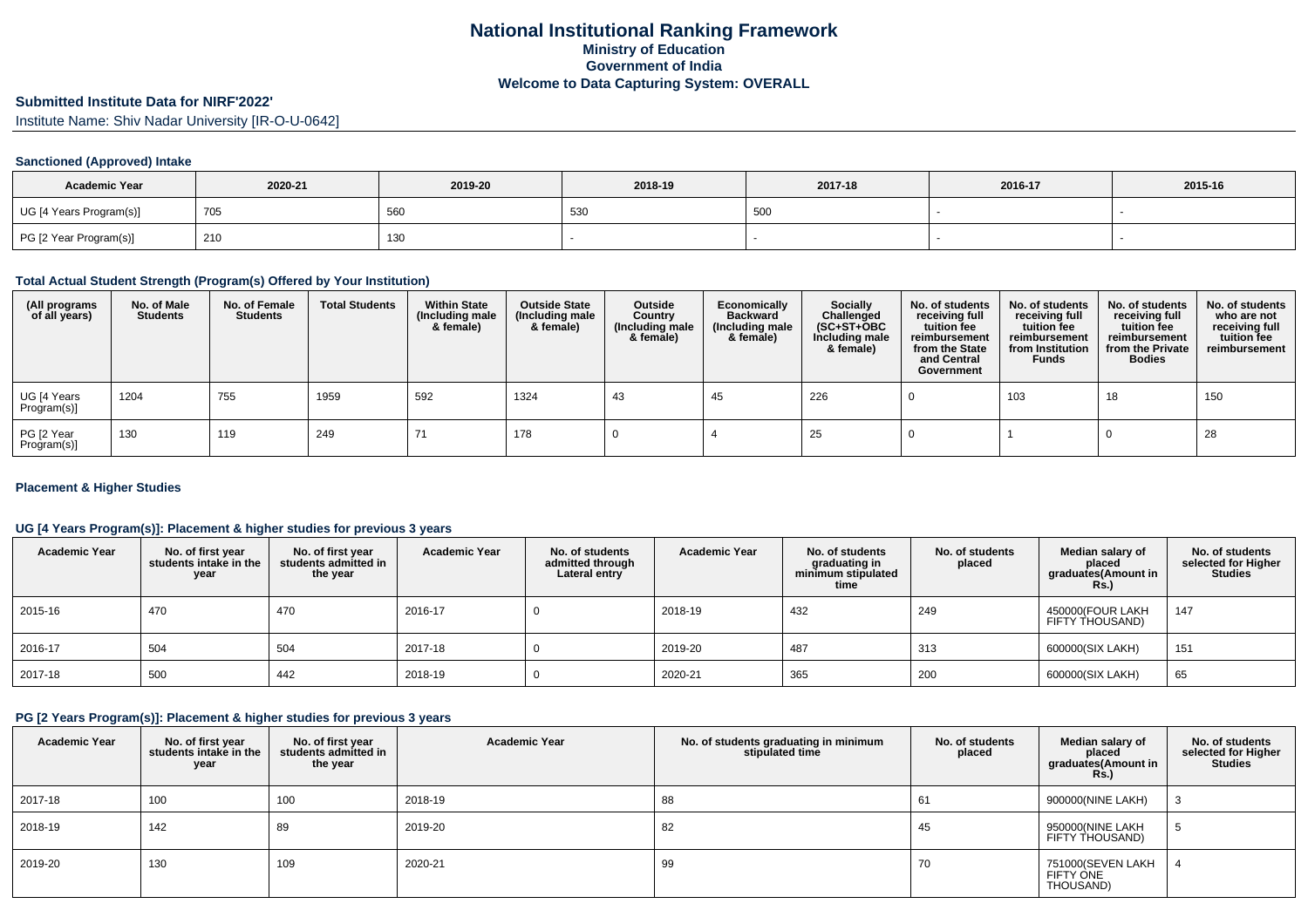# **Submitted Institute Data for NIRF'2022'**

Institute Name: Shiv Nadar University [IR-O-U-0642]

### **Sanctioned (Approved) Intake**

| <b>Academic Year</b>    | 2020-21 | 2019-20 | 2018-19 | 2017-18 | 2016-17 | 2015-16 |
|-------------------------|---------|---------|---------|---------|---------|---------|
| UG [4 Years Program(s)] | 705     | 560     | 530     | 500     |         |         |
| PG [2 Year Program(s)]  | 210     | 130     |         |         |         |         |

#### **Total Actual Student Strength (Program(s) Offered by Your Institution)**

| (All programs<br>of all years) | No. of Male<br><b>Students</b> | No. of Female<br><b>Students</b> | <b>Total Students</b> | <b>Within State</b><br>(Including male<br>& female) | <b>Outside State</b><br>(Including male<br>& female) | Outside<br>Country<br>(Including male<br>& female) | Economically<br><b>Backward</b><br>(Including male<br>& female) | <b>Socially</b><br>Challenged<br>$(SC+ST+OBC)$<br>Including male<br>& female) | No. of students<br>receiving full<br>tuition fee<br>reimbursement<br>from the State<br>and Central<br>Government | No. of students<br>receiving full<br>tuition fee<br>reimbursement<br>from Institution<br><b>Funds</b> | No. of students<br>receiving full<br>tuition fee<br>reimbursement<br>from the Private<br><b>Bodies</b> | No. of students<br>who are not<br>receiving full<br>tuition fee<br>reimbursement |
|--------------------------------|--------------------------------|----------------------------------|-----------------------|-----------------------------------------------------|------------------------------------------------------|----------------------------------------------------|-----------------------------------------------------------------|-------------------------------------------------------------------------------|------------------------------------------------------------------------------------------------------------------|-------------------------------------------------------------------------------------------------------|--------------------------------------------------------------------------------------------------------|----------------------------------------------------------------------------------|
| UG [4 Years<br>Program(s)]     | 1204                           | 755                              | 1959                  | 592                                                 | 1324                                                 | 43                                                 | 45                                                              | 226                                                                           |                                                                                                                  | 103                                                                                                   | 18                                                                                                     | 150                                                                              |
| PG [2 Year<br>Program(s)]      | 130                            | 119                              | 249                   | 71                                                  | 178                                                  |                                                    |                                                                 | 25                                                                            |                                                                                                                  |                                                                                                       |                                                                                                        | 28                                                                               |

### **Placement & Higher Studies**

### **UG [4 Years Program(s)]: Placement & higher studies for previous 3 years**

| <b>Academic Year</b> | No. of first year<br>students intake in the<br>year | No. of first vear<br>students admitted in<br>the year | <b>Academic Year</b> | No. of students<br>admitted through<br>Lateral entry | <b>Academic Year</b> | No. of students<br>graduating in<br>minimum stipulated<br>time | No. of students<br>placed | Median salary of<br>placed<br>graduates(Amount in<br><b>Rs.)</b> | No. of students<br>selected for Higher<br>Studies |
|----------------------|-----------------------------------------------------|-------------------------------------------------------|----------------------|------------------------------------------------------|----------------------|----------------------------------------------------------------|---------------------------|------------------------------------------------------------------|---------------------------------------------------|
| 2015-16              | 470                                                 | 470                                                   | 2016-17              |                                                      | 2018-19              | 432                                                            | 249                       | 450000(FOUR LAKH<br>FIFTY THOUSAND)                              | 147                                               |
| 2016-17              | 504                                                 | 504                                                   | 2017-18              |                                                      | 2019-20              | 487                                                            | 313                       | 600000(SIX LAKH)                                                 | 151                                               |
| 2017-18              | 500                                                 | 442                                                   | 2018-19              |                                                      | 2020-21              | 365                                                            | 200                       | 600000(SIX LAKH)                                                 | 65                                                |

#### **PG [2 Years Program(s)]: Placement & higher studies for previous 3 years**

| <b>Academic Year</b> | No. of first year<br>students intake in the<br>year | No. of first vear<br>students admitted in<br>the year | <b>Academic Year</b> | No. of students graduating in minimum<br>stipulated time | No. of students<br>placed | Median salary of<br>placed<br>graduates(Amount in<br><b>Rs.)</b> | No. of students<br>selected for Higher<br><b>Studies</b> |
|----------------------|-----------------------------------------------------|-------------------------------------------------------|----------------------|----------------------------------------------------------|---------------------------|------------------------------------------------------------------|----------------------------------------------------------|
| 2017-18              | 100                                                 | 100                                                   | 2018-19              | 88                                                       | O                         | 900000(NINE LAKH)                                                |                                                          |
| 2018-19              | 142                                                 | 89                                                    | 2019-20              | 82                                                       | 45                        | 950000(NINE LAKH<br>FIFTY THOUSAND)                              | ່ວ                                                       |
| 2019-20              | 130                                                 | 109                                                   | 2020-21              | 99                                                       | 70                        | 751000(SEVEN LAKH<br>FIFTY ONE<br>THOUSAND)                      |                                                          |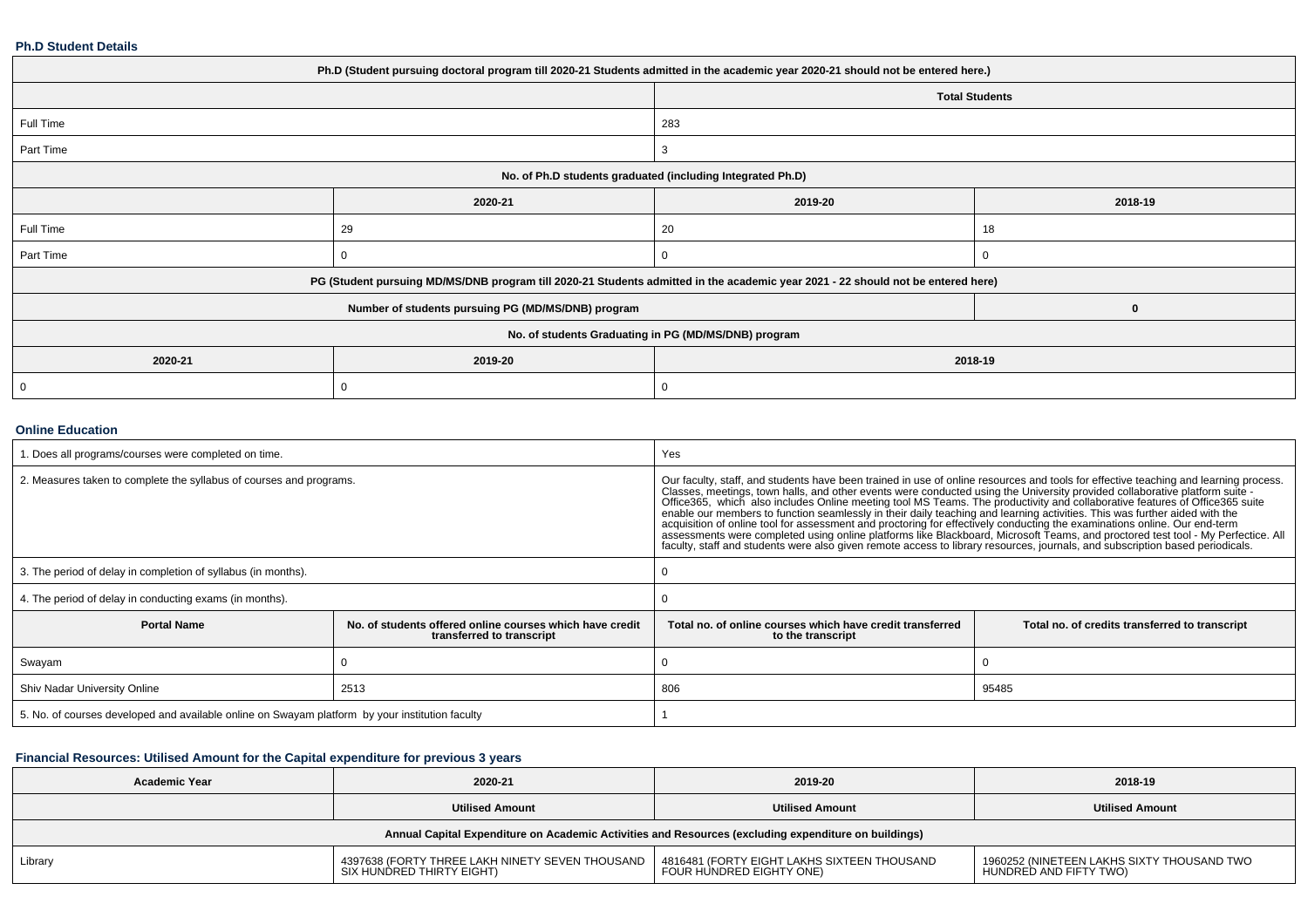#### **Ph.D Student Details**

| Ph.D (Student pursuing doctoral program till 2020-21 Students admitted in the academic year 2020-21 should not be entered here.) |                                                            |                                                                                                                                  |         |  |  |  |
|----------------------------------------------------------------------------------------------------------------------------------|------------------------------------------------------------|----------------------------------------------------------------------------------------------------------------------------------|---------|--|--|--|
|                                                                                                                                  |                                                            | <b>Total Students</b>                                                                                                            |         |  |  |  |
| Full Time                                                                                                                        |                                                            | 283                                                                                                                              |         |  |  |  |
| Part Time                                                                                                                        |                                                            | 3                                                                                                                                |         |  |  |  |
|                                                                                                                                  | No. of Ph.D students graduated (including Integrated Ph.D) |                                                                                                                                  |         |  |  |  |
|                                                                                                                                  | 2020-21                                                    | 2019-20                                                                                                                          | 2018-19 |  |  |  |
| Full Time                                                                                                                        | 29                                                         | 20                                                                                                                               | 18      |  |  |  |
| Part Time                                                                                                                        | 0                                                          | 0                                                                                                                                |         |  |  |  |
|                                                                                                                                  |                                                            | PG (Student pursuing MD/MS/DNB program till 2020-21 Students admitted in the academic year 2021 - 22 should not be entered here) |         |  |  |  |
|                                                                                                                                  | Number of students pursuing PG (MD/MS/DNB) program         |                                                                                                                                  | 0       |  |  |  |
| No. of students Graduating in PG (MD/MS/DNB) program                                                                             |                                                            |                                                                                                                                  |         |  |  |  |
| 2020-21                                                                                                                          | 2019-20<br>2018-19                                         |                                                                                                                                  |         |  |  |  |
| 0                                                                                                                                | 0                                                          |                                                                                                                                  |         |  |  |  |

### **Online Education**

| . Does all programs/courses were completed on time.                                             |                                                                                       | Yes                                                                                                                                                                                                                                                                                                                                                                                                                                                                                                                                                                                                                                                                                                                                                                                                                                                                                                                                |                                                |  |
|-------------------------------------------------------------------------------------------------|---------------------------------------------------------------------------------------|------------------------------------------------------------------------------------------------------------------------------------------------------------------------------------------------------------------------------------------------------------------------------------------------------------------------------------------------------------------------------------------------------------------------------------------------------------------------------------------------------------------------------------------------------------------------------------------------------------------------------------------------------------------------------------------------------------------------------------------------------------------------------------------------------------------------------------------------------------------------------------------------------------------------------------|------------------------------------------------|--|
| 2. Measures taken to complete the syllabus of courses and programs.                             |                                                                                       | Our faculty, staff, and students have been trained in use of online resources and tools for effective teaching and learning process.<br>Classes, meetings, town halls, and other events were conducted using the University provided collaborative platform suite -<br>Office365, which also includes Online meeting tool MS Teams. The productivity and collaborative features of Office365 suite<br>enable our members to function seamlessly in their daily teaching and learning activities. This was further aided with the<br>acquisition of online tool for assessment and proctoring for effectively conducting the examinations online. Our end-term<br>assessments were completed using online platforms like Blackboard, Microsoft Teams, and proctored test tool - My Perfectice. All<br>faculty, staff and students were also given remote access to library resources, journals, and subscription based periodicals. |                                                |  |
| 3. The period of delay in completion of syllabus (in months).                                   |                                                                                       |                                                                                                                                                                                                                                                                                                                                                                                                                                                                                                                                                                                                                                                                                                                                                                                                                                                                                                                                    |                                                |  |
| 4. The period of delay in conducting exams (in months).                                         |                                                                                       |                                                                                                                                                                                                                                                                                                                                                                                                                                                                                                                                                                                                                                                                                                                                                                                                                                                                                                                                    |                                                |  |
| <b>Portal Name</b>                                                                              | No, of students offered online courses which have credit<br>transferred to transcript | Total no, of online courses which have credit transferred<br>to the transcript                                                                                                                                                                                                                                                                                                                                                                                                                                                                                                                                                                                                                                                                                                                                                                                                                                                     | Total no. of credits transferred to transcript |  |
| Swayam                                                                                          |                                                                                       |                                                                                                                                                                                                                                                                                                                                                                                                                                                                                                                                                                                                                                                                                                                                                                                                                                                                                                                                    |                                                |  |
| Shiv Nadar University Online                                                                    | 2513                                                                                  | 95485<br>806                                                                                                                                                                                                                                                                                                                                                                                                                                                                                                                                                                                                                                                                                                                                                                                                                                                                                                                       |                                                |  |
| 5. No. of courses developed and available online on Swayam platform by your institution faculty |                                                                                       |                                                                                                                                                                                                                                                                                                                                                                                                                                                                                                                                                                                                                                                                                                                                                                                                                                                                                                                                    |                                                |  |

## **Financial Resources: Utilised Amount for the Capital expenditure for previous 3 years**

| <b>Academic Year</b>                                                                                 | 2020-21                                                                      | 2019-20                                                                 | 2018-19                                                              |  |  |  |  |
|------------------------------------------------------------------------------------------------------|------------------------------------------------------------------------------|-------------------------------------------------------------------------|----------------------------------------------------------------------|--|--|--|--|
|                                                                                                      | <b>Utilised Amount</b>                                                       | <b>Utilised Amount</b>                                                  | <b>Utilised Amount</b>                                               |  |  |  |  |
| Annual Capital Expenditure on Academic Activities and Resources (excluding expenditure on buildings) |                                                                              |                                                                         |                                                                      |  |  |  |  |
| Library                                                                                              | 4397638 (FORTY THREE LAKH NINETY SEVEN THOUSAND<br>SIX HUNDRED THIRTY EIGHT) | 4816481 (FORTY EIGHT LAKHS SIXTEEN THOUSAND<br>FOUR HUNDRED EIGHTY ONE) | 1960252 (NINETEEN LAKHS SIXTY THOUSAND TWO<br>HUNDRED AND FIFTY TWO) |  |  |  |  |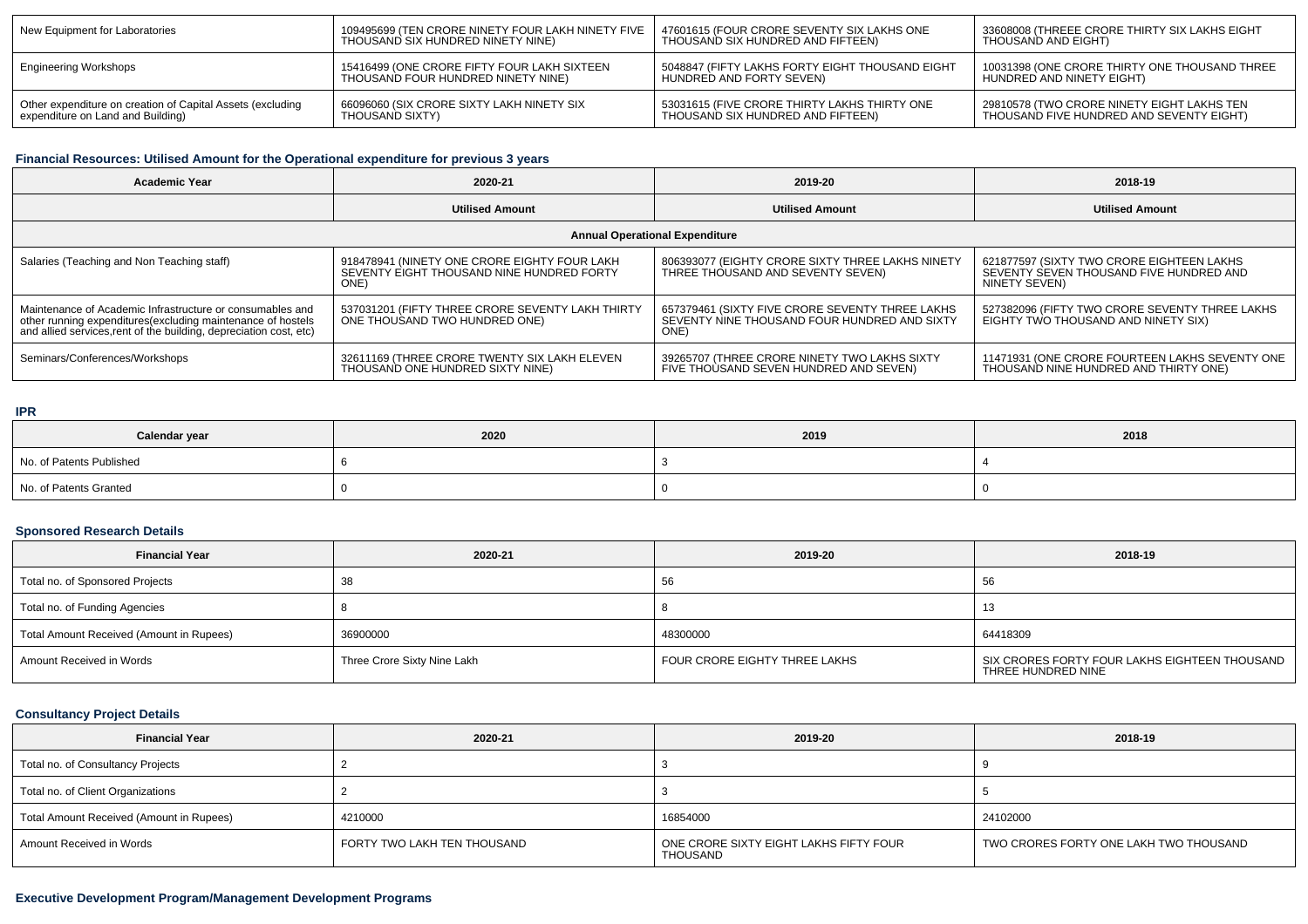| New Equipment for Laboratories                             | 109495699 (TEN CRORE NINETY FOUR LAKH NINETY FIVE | 47601615 (FOUR CRORE SEVENTY SIX LAKHS ONE      | 33608008 (THREEE CRORE THIRTY SIX LAKHS EIGHT |
|------------------------------------------------------------|---------------------------------------------------|-------------------------------------------------|-----------------------------------------------|
|                                                            | THOUSAND SIX HUNDRED NINETY NINE)                 | THOUSAND SIX HUNDRED AND FIFTEEN)               | THOUSAND AND EIGHT)                           |
| Engineering Workshops                                      | 15416499 (ONE CRORE FIFTY FOUR LAKH SIXTEEN       | 5048847 (FIFTY LAKHS FORTY EIGHT THOUSAND EIGHT | 10031398 (ONE CRORE THIRTY ONE THOUSAND THREE |
|                                                            | THOUSAND FOUR HUNDRED NINETY NINE)                | HUNDRED AND FORTY SEVEN)                        | HUNDRED AND NINETY EIGHT)                     |
| Other expenditure on creation of Capital Assets (excluding | 66096060 (SIX CRORE SIXTY LAKH NINETY SIX         | 53031615 (FIVE CRORE THIRTY LAKHS THIRTY ONE    | 29810578 (TWO CRORE NINETY EIGHT LAKHS TEN    |
| expenditure on Land and Building)                          | THOUSAND SIXTY)                                   | THOUSAND SIX HUNDRED AND FIFTEEN)               | THOUSAND FIVE HUNDRED AND SEVENTY EIGHT)      |

# **Financial Resources: Utilised Amount for the Operational expenditure for previous 3 years**

| <b>Academic Year</b>                                                                                                                                                                            | 2020-21                                                                                           | 2019-20                                                                                                 | 2018-19                                                                                               |  |  |  |  |
|-------------------------------------------------------------------------------------------------------------------------------------------------------------------------------------------------|---------------------------------------------------------------------------------------------------|---------------------------------------------------------------------------------------------------------|-------------------------------------------------------------------------------------------------------|--|--|--|--|
|                                                                                                                                                                                                 | <b>Utilised Amount</b>                                                                            | <b>Utilised Amount</b>                                                                                  | <b>Utilised Amount</b>                                                                                |  |  |  |  |
| <b>Annual Operational Expenditure</b>                                                                                                                                                           |                                                                                                   |                                                                                                         |                                                                                                       |  |  |  |  |
| Salaries (Teaching and Non Teaching staff)                                                                                                                                                      | 918478941 (NINETY ONE CRORE EIGHTY FOUR LAKH<br>SEVENTY EIGHT THOUSAND NINE HUNDRED FORTY<br>ONE) | 806393077 (EIGHTY CRORE SIXTY THREE LAKHS NINETY<br>THREE THOUSAND AND SEVENTY SEVEN)                   | 621877597 (SIXTY TWO CRORE EIGHTEEN LAKHS<br>SEVENTY SEVEN THOUSAND FIVE HUNDRED AND<br>NINETY SEVEN) |  |  |  |  |
| Maintenance of Academic Infrastructure or consumables and<br>other running expenditures (excluding maintenance of hostels<br>and allied services, rent of the building, depreciation cost, etc) | 537031201 (FIFTY THREE CRORE SEVENTY LAKH THIRTY<br>ONE THOUSAND TWO HUNDRED ONE)                 | 657379461 (SIXTY FIVE CRORE SEVENTY THREE LAKHS<br>SEVENTY NINE THOUSAND FOUR HUNDRED AND SIXTY<br>ONE) | 527382096 (FIFTY TWO CRORE SEVENTY THREE LAKHS<br>EIGHTY TWO THOUSAND AND NINETY SIX)                 |  |  |  |  |
| Seminars/Conferences/Workshops                                                                                                                                                                  | 32611169 (THREE CRORE TWENTY SIX LAKH ELEVEN<br>THOUSAND ONE HUNDRED SIXTY NINE)                  | 39265707 (THREE CRORE NINETY TWO LAKHS SIXTY<br>FIVE THOUSAND SEVEN HUNDRED AND SEVEN)                  | 11471931 (ONE CRORE FOURTEEN LAKHS SEVENTY ONE<br>THOUSAND NINE HUNDRED AND THIRTY ONE)               |  |  |  |  |

### **IPR**

| Calendar year            | 2020 | 2019 | 2018 |
|--------------------------|------|------|------|
| No. of Patents Published |      |      |      |
| No. of Patents Granted   |      |      |      |

# **Sponsored Research Details**

| <b>Financial Year</b>                    | 2020-21                     | 2019-20                       | 2018-19                                                             |
|------------------------------------------|-----------------------------|-------------------------------|---------------------------------------------------------------------|
| Total no. of Sponsored Projects          |                             | 56                            | -56                                                                 |
| Total no. of Funding Agencies            |                             |                               | 13                                                                  |
| Total Amount Received (Amount in Rupees) | 36900000                    | 48300000                      | 64418309                                                            |
| Amount Received in Words                 | Three Crore Sixty Nine Lakh | FOUR CRORE EIGHTY THREE LAKHS | SIX CRORES FORTY FOUR LAKHS EIGHTEEN THOUSAND<br>THREE HUNDRED NINE |

# **Consultancy Project Details**

| <b>Financial Year</b>                    | 2020-21                     | 2019-20                                                   | 2018-19                                |
|------------------------------------------|-----------------------------|-----------------------------------------------------------|----------------------------------------|
| Total no. of Consultancy Projects        |                             |                                                           |                                        |
| Total no. of Client Organizations        |                             |                                                           |                                        |
| Total Amount Received (Amount in Rupees) | 4210000                     | 16854000                                                  | 24102000                               |
| Amount Received in Words                 | FORTY TWO LAKH TEN THOUSAND | ONE CRORE SIXTY EIGHT LAKHS FIFTY FOUR<br><b>THOUSAND</b> | TWO CRORES FORTY ONE LAKH TWO THOUSAND |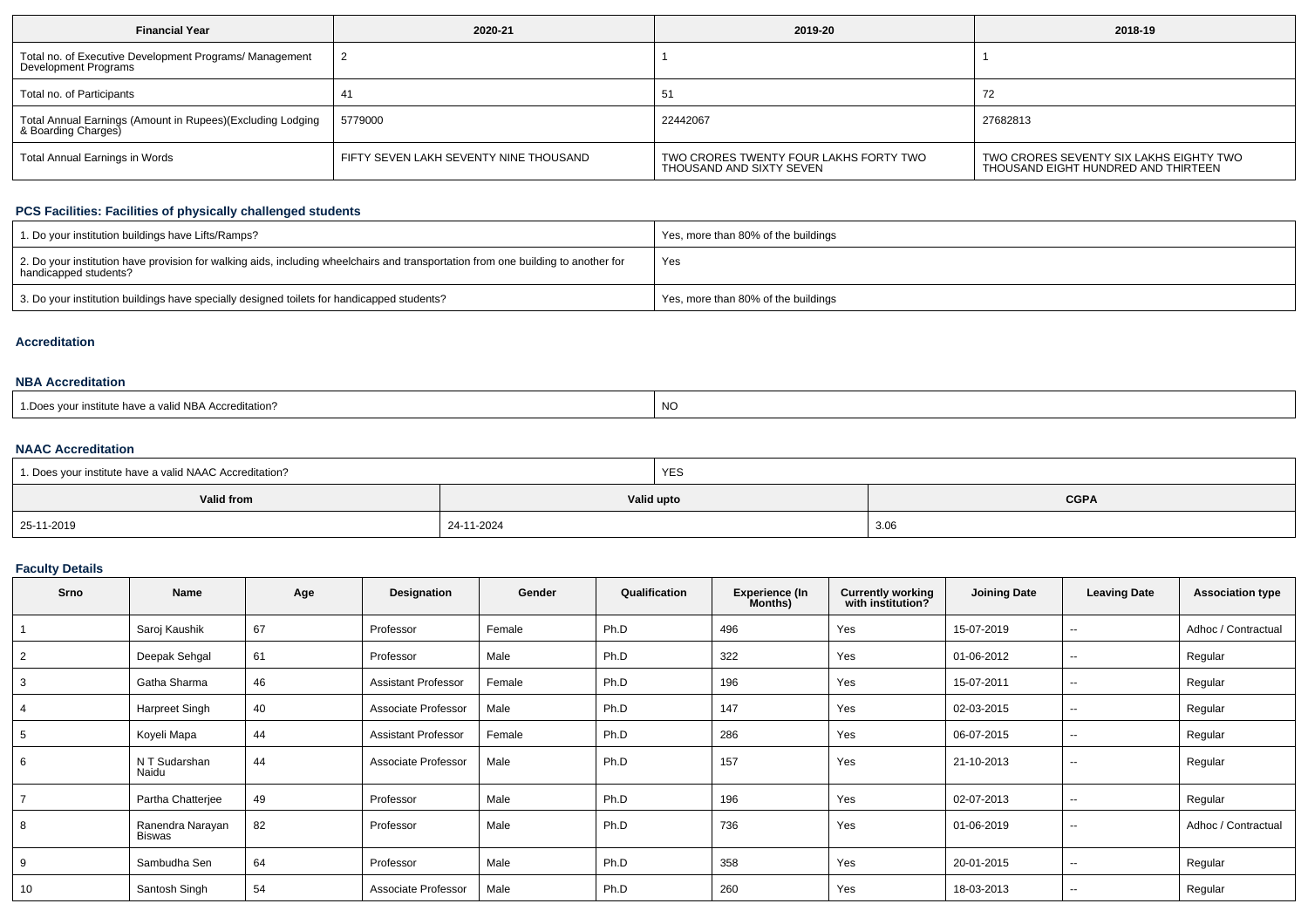| <b>Financial Year</b>                                                             | 2020-21                                | 2019-20                                                            | 2018-19                                                                        |
|-----------------------------------------------------------------------------------|----------------------------------------|--------------------------------------------------------------------|--------------------------------------------------------------------------------|
| Total no. of Executive Development Programs/ Management<br>Development Programs   |                                        |                                                                    |                                                                                |
| Total no. of Participants                                                         |                                        | -51                                                                |                                                                                |
| Total Annual Earnings (Amount in Rupees)(Excluding Lodging<br>& Boarding Charges) | 5779000                                | 22442067                                                           | 27682813                                                                       |
| Total Annual Earnings in Words                                                    | FIFTY SEVEN LAKH SEVENTY NINE THOUSAND | TWO CRORES TWENTY FOUR LAKHS FORTY TWO<br>THOUSAND AND SIXTY SEVEN | TWO CRORES SEVENTY SIX LAKHS EIGHTY TWO<br>THOUSAND EIGHT HUNDRED AND THIRTEEN |

### **PCS Facilities: Facilities of physically challenged students**

| 1. Do your institution buildings have Lifts/Ramps?                                                                                                         | Yes, more than 80% of the buildings |
|------------------------------------------------------------------------------------------------------------------------------------------------------------|-------------------------------------|
| 2. Do your institution have provision for walking aids, including wheelchairs and transportation from one building to another for<br>handicapped students? | Yes                                 |
| 3. Do your institution buildings have specially designed toilets for handicapped students?                                                                 | Yes, more than 80% of the buildings |

### **Accreditation**

### **NBA Accreditation**

| NO<br>1. Does vour institute have a valid NBA Accreditation?<br>__ |  |
|--------------------------------------------------------------------|--|
|--------------------------------------------------------------------|--|

### **NAAC Accreditation**

| 1. Does your institute have a valid NAAC Accreditation? | YES        |             |
|---------------------------------------------------------|------------|-------------|
| Valid from                                              | Valid upto | <b>CGPA</b> |
| 25-11-2019                                              | 24-11-2024 | 3.06        |

### **Faculty Details**

| Srno | Name                              | Age | Designation                | Gender | Qualification | <b>Experience (In</b><br>Months) | <b>Currently working</b><br>with institution? | <b>Joining Date</b> | <b>Leaving Date</b> | <b>Association type</b> |
|------|-----------------------------------|-----|----------------------------|--------|---------------|----------------------------------|-----------------------------------------------|---------------------|---------------------|-------------------------|
|      | Saroj Kaushik                     | 67  | Professor                  | Female | Ph.D          | 496                              | Yes                                           | 15-07-2019          | --                  | Adhoc / Contractual     |
|      | Deepak Sehgal                     | 61  | Professor                  | Male   | Ph.D          | 322                              | Yes                                           | 01-06-2012          | $\sim$              | Regular                 |
|      | Gatha Sharma                      | 46  | <b>Assistant Professor</b> | Female | Ph.D          | 196                              | Yes                                           | 15-07-2011          | --                  | Regular                 |
|      | Harpreet Singh                    | 40  | Associate Professor        | Male   | Ph.D          | 147                              | Yes                                           | 02-03-2015          | --                  | Regular                 |
|      | Koyeli Mapa                       | 44  | <b>Assistant Professor</b> | Female | Ph.D          | 286                              | Yes                                           | 06-07-2015          | $\sim$              | Regular                 |
| 6    | N T Sudarshan<br>Naidu            | 44  | Associate Professor        | Male   | Ph.D          | 157                              | Yes                                           | 21-10-2013          | $\sim$              | Regular                 |
|      | Partha Chatterjee                 | 49  | Professor                  | Male   | Ph.D          | 196                              | Yes                                           | 02-07-2013          | $\sim$              | Regular                 |
| 8    | Ranendra Narayan<br><b>Biswas</b> | 82  | Professor                  | Male   | Ph.D          | 736                              | Yes                                           | 01-06-2019          | $\sim$              | Adhoc / Contractual     |
| 9    | Sambudha Sen                      | 64  | Professor                  | Male   | Ph.D          | 358                              | Yes                                           | 20-01-2015          | $\sim$              | Regular                 |
| 10   | Santosh Singh                     | 54  | Associate Professor        | Male   | Ph.D          | 260                              | Yes                                           | 18-03-2013          | $\sim$              | Regular                 |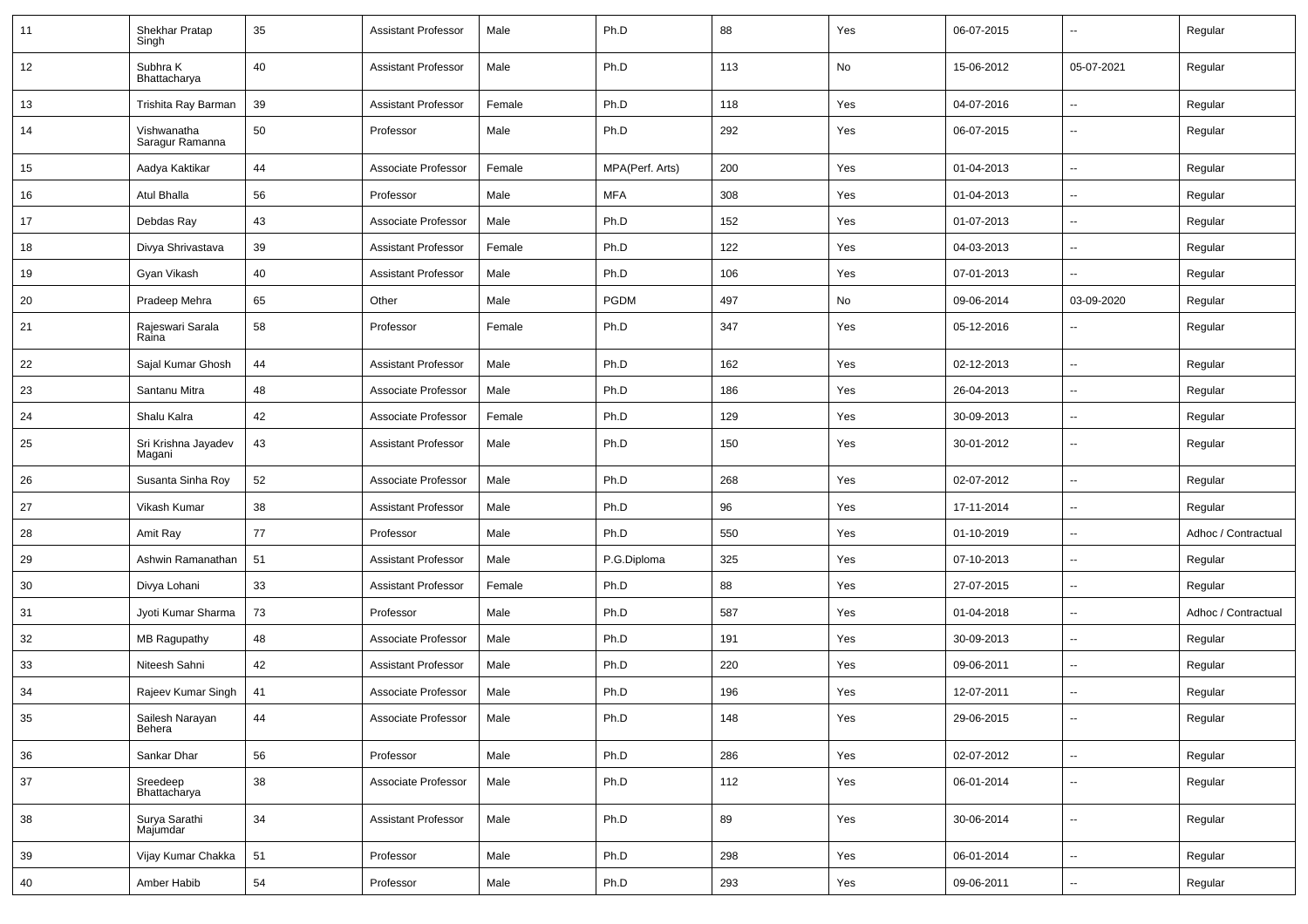| 11 | Shekhar Pratap<br>Singh        | 35 | Assistant Professor        | Male   | Ph.D            | 88  | Yes | 06-07-2015 | $\overline{\phantom{a}}$ | Regular             |
|----|--------------------------------|----|----------------------------|--------|-----------------|-----|-----|------------|--------------------------|---------------------|
| 12 | Subhra K<br>Bhattacharya       | 40 | <b>Assistant Professor</b> | Male   | Ph.D            | 113 | No  | 15-06-2012 | 05-07-2021               | Regular             |
| 13 | Trishita Ray Barman            | 39 | <b>Assistant Professor</b> | Female | Ph.D            | 118 | Yes | 04-07-2016 | ⊷.                       | Regular             |
| 14 | Vishwanatha<br>Saragur Ramanna | 50 | Professor                  | Male   | Ph.D            | 292 | Yes | 06-07-2015 | --                       | Regular             |
| 15 | Aadya Kaktikar                 | 44 | Associate Professor        | Female | MPA(Perf. Arts) | 200 | Yes | 01-04-2013 | $\overline{\phantom{a}}$ | Regular             |
| 16 | Atul Bhalla                    | 56 | Professor                  | Male   | <b>MFA</b>      | 308 | Yes | 01-04-2013 | -−                       | Regular             |
| 17 | Debdas Ray                     | 43 | Associate Professor        | Male   | Ph.D            | 152 | Yes | 01-07-2013 | $\overline{\phantom{a}}$ | Regular             |
| 18 | Divya Shrivastava              | 39 | <b>Assistant Professor</b> | Female | Ph.D            | 122 | Yes | 04-03-2013 | --                       | Regular             |
| 19 | Gyan Vikash                    | 40 | <b>Assistant Professor</b> | Male   | Ph.D            | 106 | Yes | 07-01-2013 | $\overline{\phantom{a}}$ | Regular             |
| 20 | Pradeep Mehra                  | 65 | Other                      | Male   | <b>PGDM</b>     | 497 | No  | 09-06-2014 | 03-09-2020               | Regular             |
| 21 | Rajeswari Sarala<br>Raina      | 58 | Professor                  | Female | Ph.D            | 347 | Yes | 05-12-2016 | --                       | Regular             |
| 22 | Sajal Kumar Ghosh              | 44 | <b>Assistant Professor</b> | Male   | Ph.D            | 162 | Yes | 02-12-2013 | -−                       | Regular             |
| 23 | Santanu Mitra                  | 48 | Associate Professor        | Male   | Ph.D            | 186 | Yes | 26-04-2013 | $\overline{\phantom{a}}$ | Regular             |
| 24 | Shalu Kalra                    | 42 | Associate Professor        | Female | Ph.D            | 129 | Yes | 30-09-2013 | $\overline{a}$           | Regular             |
| 25 | Sri Krishna Jayadev<br>Magani  | 43 | <b>Assistant Professor</b> | Male   | Ph.D            | 150 | Yes | 30-01-2012 | --                       | Regular             |
| 26 | Susanta Sinha Roy              | 52 | Associate Professor        | Male   | Ph.D            | 268 | Yes | 02-07-2012 | --                       | Regular             |
| 27 | Vikash Kumar                   | 38 | <b>Assistant Professor</b> | Male   | Ph.D            | 96  | Yes | 17-11-2014 | $\mathbf{u}$             | Regular             |
| 28 | Amit Ray                       | 77 | Professor                  | Male   | Ph.D            | 550 | Yes | 01-10-2019 | $\overline{\phantom{a}}$ | Adhoc / Contractual |
| 29 | Ashwin Ramanathan              | 51 | <b>Assistant Professor</b> | Male   | P.G.Diploma     | 325 | Yes | 07-10-2013 | --                       | Regular             |
| 30 | Divya Lohani                   | 33 | <b>Assistant Professor</b> | Female | Ph.D            | 88  | Yes | 27-07-2015 | $\overline{\phantom{a}}$ | Regular             |
| 31 | Jyoti Kumar Sharma             | 73 | Professor                  | Male   | Ph.D            | 587 | Yes | 01-04-2018 | $\overline{\phantom{a}}$ | Adhoc / Contractual |
| 32 | <b>MB Ragupathy</b>            | 48 | Associate Professor        | Male   | Ph.D            | 191 | Yes | 30-09-2013 | --                       | Regular             |
| 33 | Niteesh Sahni                  | 42 | <b>Assistant Professor</b> | Male   | Ph.D            | 220 | Yes | 09-06-2011 | $\overline{\phantom{a}}$ | Regular             |
| 34 | Rajeev Kumar Singh             | 41 | Associate Professor        | Male   | Ph.D            | 196 | Yes | 12-07-2011 | ⊷.                       | Regular             |
| 35 | Sailesh Narayan<br>Behera      | 44 | Associate Professor        | Male   | Ph.D            | 148 | Yes | 29-06-2015 | ⊷                        | Regular             |
| 36 | Sankar Dhar                    | 56 | Professor                  | Male   | Ph.D            | 286 | Yes | 02-07-2012 | $\overline{\phantom{a}}$ | Regular             |
| 37 | Sreedeep<br>Bhattacharya       | 38 | Associate Professor        | Male   | Ph.D            | 112 | Yes | 06-01-2014 | $\overline{\phantom{a}}$ | Regular             |
| 38 | Surya Sarathi<br>Majumdar      | 34 | <b>Assistant Professor</b> | Male   | Ph.D            | 89  | Yes | 30-06-2014 | $\overline{\phantom{a}}$ | Regular             |
| 39 | Vijay Kumar Chakka             | 51 | Professor                  | Male   | Ph.D            | 298 | Yes | 06-01-2014 | Щ,                       | Regular             |
| 40 | Amber Habib                    | 54 | Professor                  | Male   | Ph.D            | 293 | Yes | 09-06-2011 | ⊶.                       | Regular             |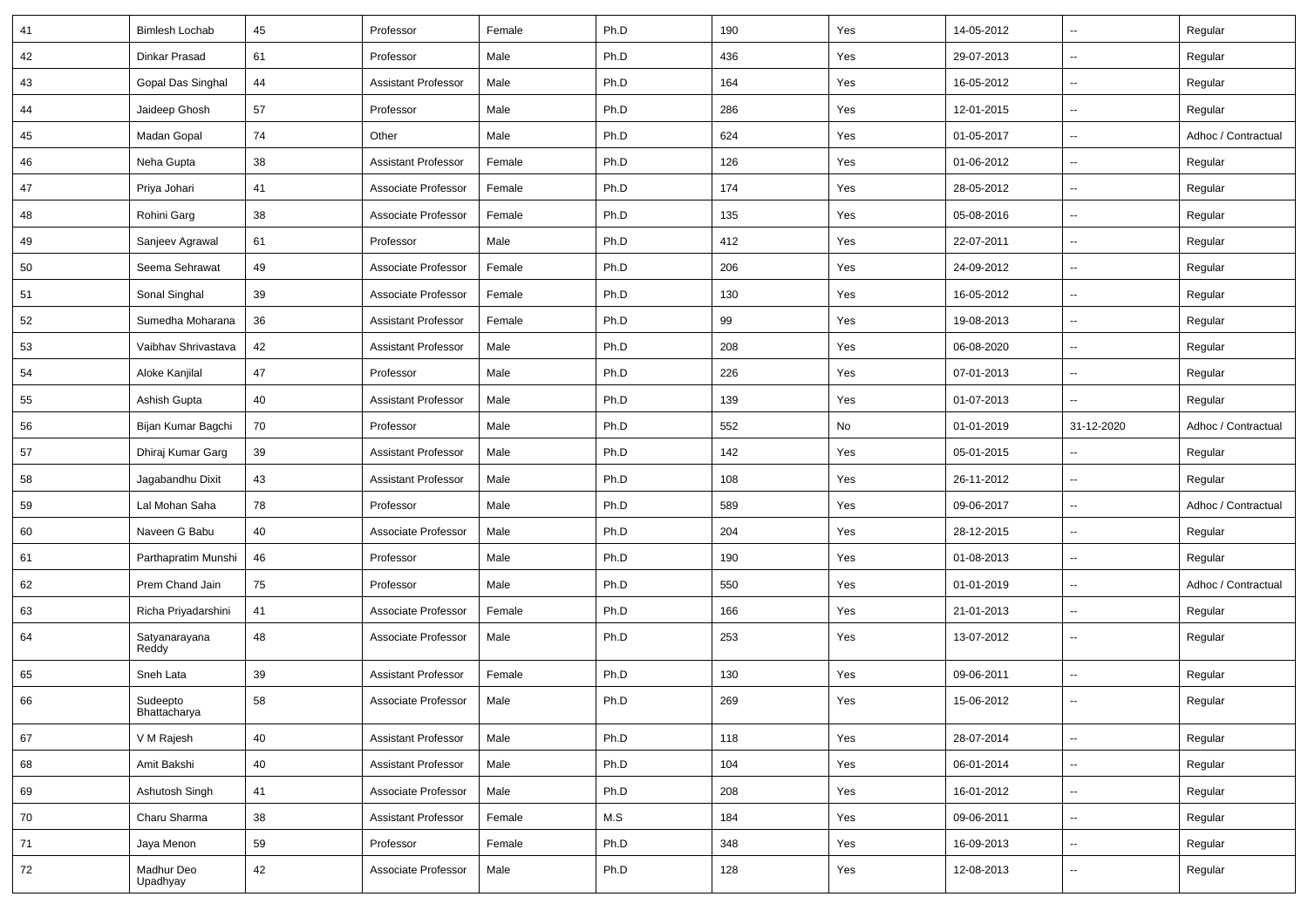| 41 | <b>Bimlesh Lochab</b>    | 45 | Professor                  | Female | Ph.D | 190 | Yes | 14-05-2012 | $\overline{\phantom{a}}$ | Regular             |
|----|--------------------------|----|----------------------------|--------|------|-----|-----|------------|--------------------------|---------------------|
| 42 | Dinkar Prasad            | 61 | Professor                  | Male   | Ph.D | 436 | Yes | 29-07-2013 | Ξ.                       | Regular             |
| 43 | Gopal Das Singhal        | 44 | <b>Assistant Professor</b> | Male   | Ph.D | 164 | Yes | 16-05-2012 | --                       | Regular             |
| 44 | Jaideep Ghosh            | 57 | Professor                  | Male   | Ph.D | 286 | Yes | 12-01-2015 | $\overline{\phantom{a}}$ | Regular             |
| 45 | Madan Gopal              | 74 | Other                      | Male   | Ph.D | 624 | Yes | 01-05-2017 | $\overline{\phantom{a}}$ | Adhoc / Contractual |
| 46 | Neha Gupta               | 38 | <b>Assistant Professor</b> | Female | Ph.D | 126 | Yes | 01-06-2012 | $\overline{\phantom{a}}$ | Regular             |
| 47 | Priya Johari             | 41 | Associate Professor        | Female | Ph.D | 174 | Yes | 28-05-2012 | Щ,                       | Regular             |
| 48 | Rohini Garg              | 38 | Associate Professor        | Female | Ph.D | 135 | Yes | 05-08-2016 | Щ,                       | Regular             |
| 49 | Sanjeev Agrawal          | 61 | Professor                  | Male   | Ph.D | 412 | Yes | 22-07-2011 | $\overline{\phantom{a}}$ | Regular             |
| 50 | Seema Sehrawat           | 49 | Associate Professor        | Female | Ph.D | 206 | Yes | 24-09-2012 | $\overline{\phantom{a}}$ | Regular             |
| 51 | Sonal Singhal            | 39 | Associate Professor        | Female | Ph.D | 130 | Yes | 16-05-2012 | $\overline{\phantom{a}}$ | Regular             |
| 52 | Sumedha Moharana         | 36 | <b>Assistant Professor</b> | Female | Ph.D | 99  | Yes | 19-08-2013 | Щ,                       | Regular             |
| 53 | Vaibhav Shrivastava      | 42 | <b>Assistant Professor</b> | Male   | Ph.D | 208 | Yes | 06-08-2020 | Ξ.                       | Regular             |
| 54 | Aloke Kanjilal           | 47 | Professor                  | Male   | Ph.D | 226 | Yes | 07-01-2013 | Щ,                       | Regular             |
| 55 | Ashish Gupta             | 40 | <b>Assistant Professor</b> | Male   | Ph.D | 139 | Yes | 01-07-2013 | $\overline{\phantom{a}}$ | Regular             |
| 56 | Bijan Kumar Bagchi       | 70 | Professor                  | Male   | Ph.D | 552 | No  | 01-01-2019 | 31-12-2020               | Adhoc / Contractual |
| 57 | Dhiraj Kumar Garg        | 39 | <b>Assistant Professor</b> | Male   | Ph.D | 142 | Yes | 05-01-2015 | $\overline{\phantom{a}}$ | Regular             |
| 58 | Jagabandhu Dixit         | 43 | <b>Assistant Professor</b> | Male   | Ph.D | 108 | Yes | 26-11-2012 | $\overline{\phantom{a}}$ | Regular             |
| 59 | Lal Mohan Saha           | 78 | Professor                  | Male   | Ph.D | 589 | Yes | 09-06-2017 | Ξ.                       | Adhoc / Contractual |
| 60 | Naveen G Babu            | 40 | Associate Professor        | Male   | Ph.D | 204 | Yes | 28-12-2015 | $\overline{\phantom{a}}$ | Regular             |
| 61 | Parthapratim Munshi      | 46 | Professor                  | Male   | Ph.D | 190 | Yes | 01-08-2013 | $\overline{\phantom{a}}$ | Regular             |
| 62 | Prem Chand Jain          | 75 | Professor                  | Male   | Ph.D | 550 | Yes | 01-01-2019 | $\overline{\phantom{a}}$ | Adhoc / Contractual |
| 63 | Richa Priyadarshini      | 41 | Associate Professor        | Female | Ph.D | 166 | Yes | 21-01-2013 | Ξ.                       | Regular             |
| 64 | Satyanarayana<br>Reddy   | 48 | Associate Professor        | Male   | Ph.D | 253 | Yes | 13-07-2012 | $\overline{\phantom{a}}$ | Regular             |
| 65 | Sneh Lata                | 39 | <b>Assistant Professor</b> | Female | Ph.D | 130 | Yes | 09-06-2011 | Щ,                       | Regular             |
| 66 | Sudeepto<br>Bhattacharya | 58 | Associate Professor        | Male   | Ph.D | 269 | Yes | 15-06-2012 | $\overline{\phantom{a}}$ | Regular             |
| 67 | V M Rajesh               | 40 | <b>Assistant Professor</b> | Male   | Ph.D | 118 | Yes | 28-07-2014 | Щ,                       | Regular             |
| 68 | Amit Bakshi              | 40 | <b>Assistant Professor</b> | Male   | Ph.D | 104 | Yes | 06-01-2014 | Щ,                       | Regular             |
| 69 | Ashutosh Singh           | 41 | Associate Professor        | Male   | Ph.D | 208 | Yes | 16-01-2012 | Щ,                       | Regular             |
| 70 | Charu Sharma             | 38 | <b>Assistant Professor</b> | Female | M.S  | 184 | Yes | 09-06-2011 | Щ,                       | Regular             |
| 71 | Jaya Menon               | 59 | Professor                  | Female | Ph.D | 348 | Yes | 16-09-2013 | Щ,                       | Regular             |
| 72 | Madhur Deo<br>Upadhyay   | 42 | Associate Professor        | Male   | Ph.D | 128 | Yes | 12-08-2013 | $\overline{\phantom{a}}$ | Regular             |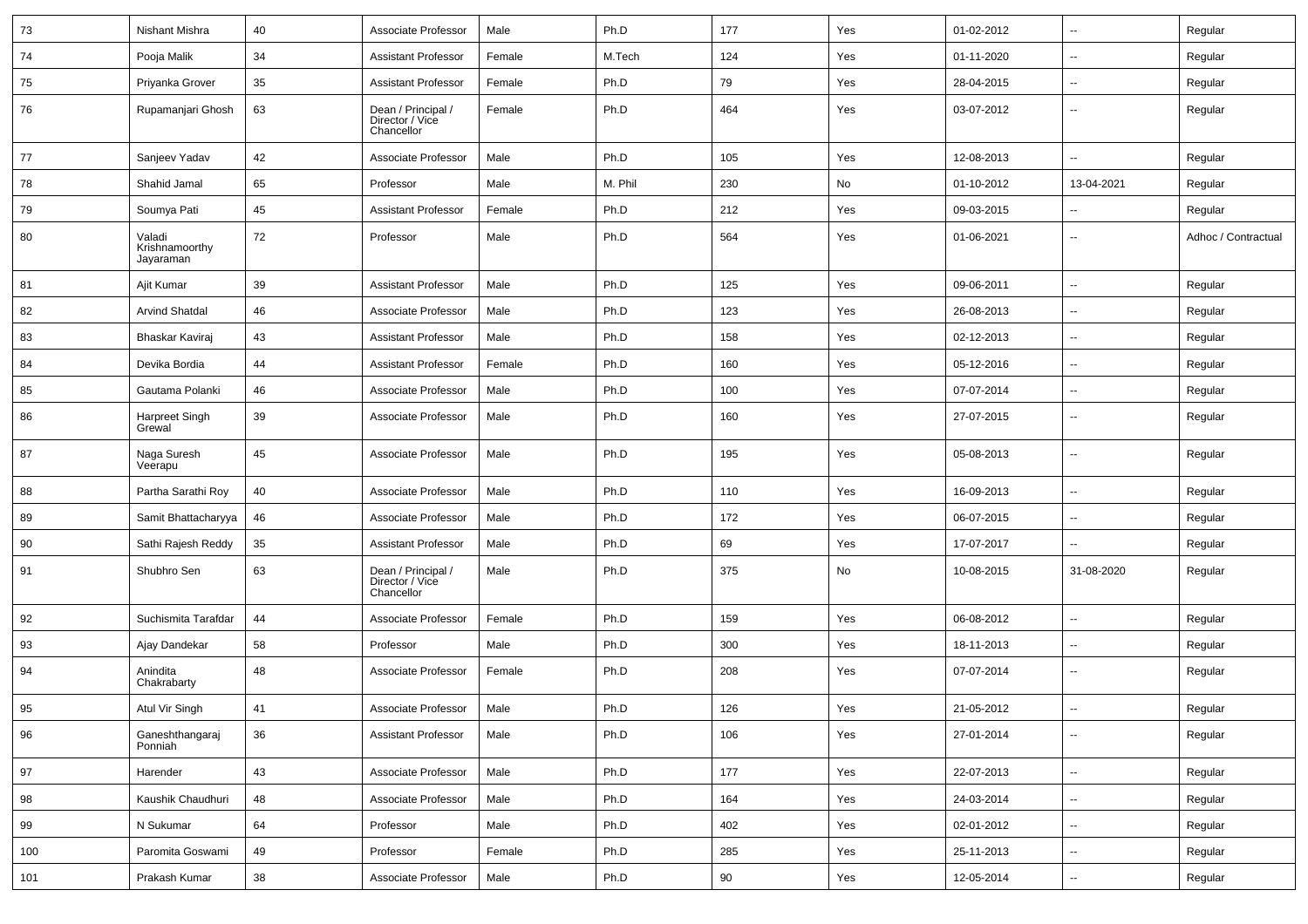| 73  | <b>Nishant Mishra</b>                 | 40 | Associate Professor                                 | Male   | Ph.D    | 177 | Yes | 01-02-2012 | $\overline{\phantom{a}}$ | Regular             |
|-----|---------------------------------------|----|-----------------------------------------------------|--------|---------|-----|-----|------------|--------------------------|---------------------|
| 74  | Pooja Malik                           | 34 | <b>Assistant Professor</b>                          | Female | M.Tech  | 124 | Yes | 01-11-2020 | ⊷.                       | Regular             |
| 75  | Priyanka Grover                       | 35 | <b>Assistant Professor</b>                          | Female | Ph.D    | 79  | Yes | 28-04-2015 | $-$                      | Regular             |
| 76  | Rupamanjari Ghosh                     | 63 | Dean / Principal /<br>Director / Vice<br>Chancellor | Female | Ph.D    | 464 | Yes | 03-07-2012 | --                       | Regular             |
| 77  | Sanjeev Yadav                         | 42 | Associate Professor                                 | Male   | Ph.D    | 105 | Yes | 12-08-2013 | $\overline{\phantom{a}}$ | Regular             |
| 78  | Shahid Jamal                          | 65 | Professor                                           | Male   | M. Phil | 230 | No  | 01-10-2012 | 13-04-2021               | Regular             |
| 79  | Soumya Pati                           | 45 | <b>Assistant Professor</b>                          | Female | Ph.D    | 212 | Yes | 09-03-2015 |                          | Regular             |
| 80  | Valadi<br>Krishnamoorthy<br>Jayaraman | 72 | Professor                                           | Male   | Ph.D    | 564 | Yes | 01-06-2021 | -−                       | Adhoc / Contractual |
| 81  | Ajit Kumar                            | 39 | <b>Assistant Professor</b>                          | Male   | Ph.D    | 125 | Yes | 09-06-2011 | --                       | Regular             |
| 82  | <b>Arvind Shatdal</b>                 | 46 | Associate Professor                                 | Male   | Ph.D    | 123 | Yes | 26-08-2013 | $\overline{\phantom{a}}$ | Regular             |
| 83  | Bhaskar Kaviraj                       | 43 | <b>Assistant Professor</b>                          | Male   | Ph.D    | 158 | Yes | 02-12-2013 | $\overline{\phantom{a}}$ | Regular             |
| 84  | Devika Bordia                         | 44 | <b>Assistant Professor</b>                          | Female | Ph.D    | 160 | Yes | 05-12-2016 | ⊷.                       | Regular             |
| 85  | Gautama Polanki                       | 46 | Associate Professor                                 | Male   | Ph.D    | 100 | Yes | 07-07-2014 | $\overline{\phantom{a}}$ | Regular             |
| 86  | Harpreet Singh<br>Grewal              | 39 | Associate Professor                                 | Male   | Ph.D    | 160 | Yes | 27-07-2015 | $\overline{\phantom{a}}$ | Regular             |
| 87  | Naga Suresh<br>Veerapu                | 45 | Associate Professor                                 | Male   | Ph.D    | 195 | Yes | 05-08-2013 | $\overline{\phantom{a}}$ | Regular             |
| 88  | Partha Sarathi Roy                    | 40 | Associate Professor                                 | Male   | Ph.D    | 110 | Yes | 16-09-2013 | -−                       | Regular             |
| 89  | Samit Bhattacharyya                   | 46 | Associate Professor                                 | Male   | Ph.D    | 172 | Yes | 06-07-2015 | --                       | Regular             |
| 90  | Sathi Rajesh Reddy                    | 35 | <b>Assistant Professor</b>                          | Male   | Ph.D    | 69  | Yes | 17-07-2017 |                          | Regular             |
| 91  | Shubhro Sen                           | 63 | Dean / Principal /<br>Director / Vice<br>Chancellor | Male   | Ph.D    | 375 | No  | 10-08-2015 | 31-08-2020               | Regular             |
| 92  | Suchismita Tarafdar                   | 44 | Associate Professor                                 | Female | Ph.D    | 159 | Yes | 06-08-2012 | $\overline{a}$           | Regular             |
| 93  | Ajay Dandekar                         | 58 | Professor                                           | Male   | Ph.D    | 300 | Yes | 18-11-2013 | $\overline{\phantom{a}}$ | Regular             |
| 94  | Anindita<br>Chakrabarty               | 48 | Associate Professor                                 | Female | Ph.D    | 208 | Yes | 07-07-2014 | $\overline{\phantom{a}}$ | Regular             |
| 95  | Atul Vir Singh                        | 41 | Associate Professor                                 | Male   | Ph.D    | 126 | Yes | 21-05-2012 | --                       | Regular             |
| 96  | Ganeshthangaraj<br>Ponniah            | 36 | <b>Assistant Professor</b>                          | Male   | Ph.D    | 106 | Yes | 27-01-2014 | $\overline{\phantom{a}}$ | Regular             |
| 97  | Harender                              | 43 | Associate Professor                                 | Male   | Ph.D    | 177 | Yes | 22-07-2013 | ш.                       | Regular             |
| 98  | Kaushik Chaudhuri                     | 48 | Associate Professor                                 | Male   | Ph.D    | 164 | Yes | 24-03-2014 | $\overline{\phantom{a}}$ | Regular             |
| 99  | N Sukumar                             | 64 | Professor                                           | Male   | Ph.D    | 402 | Yes | 02-01-2012 | -−                       | Regular             |
| 100 | Paromita Goswami                      | 49 | Professor                                           | Female | Ph.D    | 285 | Yes | 25-11-2013 | Ξ.                       | Regular             |
| 101 | Prakash Kumar                         | 38 | Associate Professor                                 | Male   | Ph.D    | 90  | Yes | 12-05-2014 | $\sim$                   | Regular             |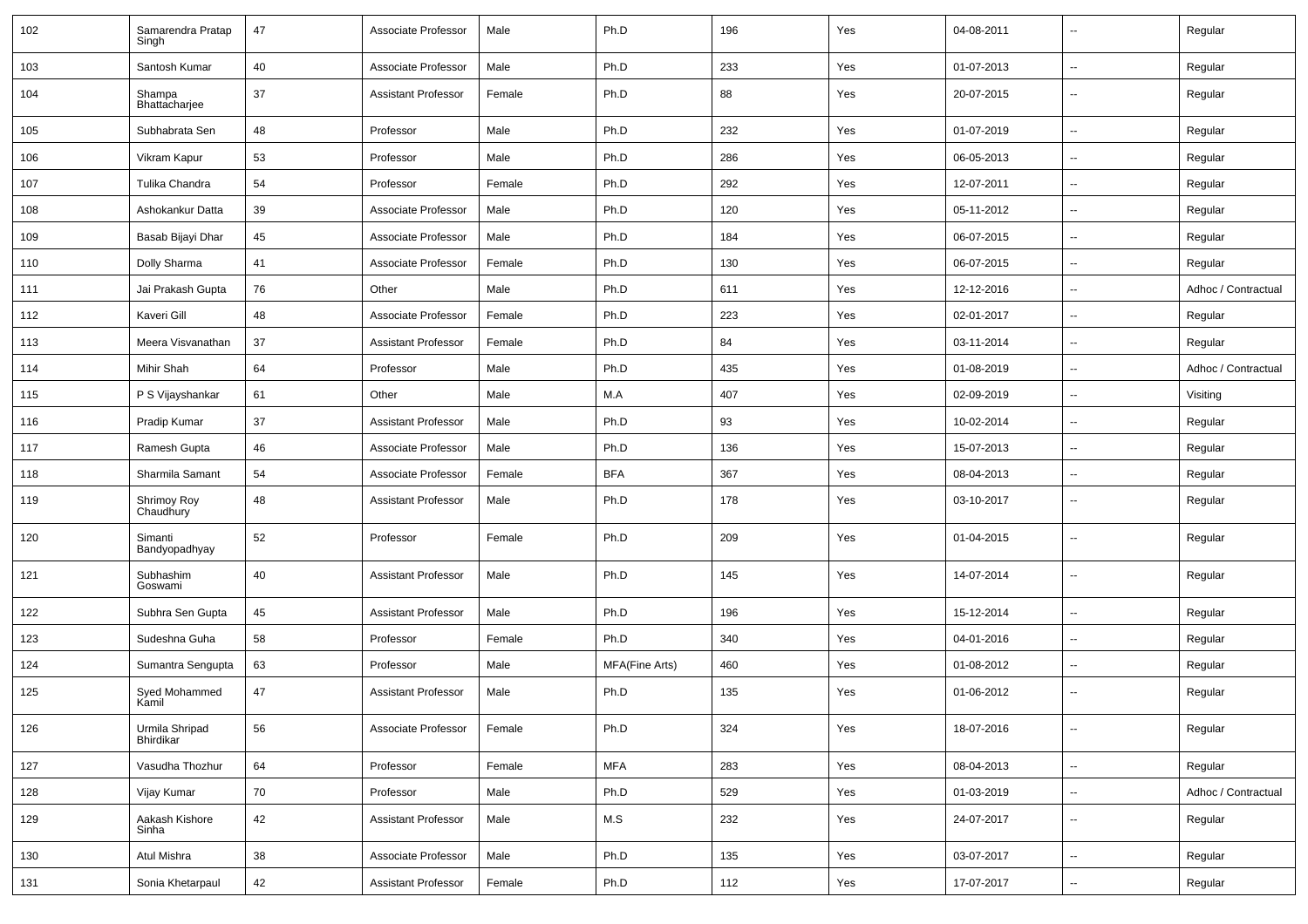| 102 | Samarendra Pratap<br>Singh  | 47 | Associate Professor        | Male   | Ph.D                  | 196 | Yes | 04-08-2011 | --                       | Regular             |
|-----|-----------------------------|----|----------------------------|--------|-----------------------|-----|-----|------------|--------------------------|---------------------|
| 103 | Santosh Kumar               | 40 | Associate Professor        | Male   | Ph.D                  | 233 | Yes | 01-07-2013 | $\overline{\phantom{a}}$ | Regular             |
| 104 | Shampa<br>Bhattacharjee     | 37 | <b>Assistant Professor</b> | Female | Ph.D                  | 88  | Yes | 20-07-2015 | $\overline{\phantom{a}}$ | Regular             |
| 105 | Subhabrata Sen              | 48 | Professor                  | Male   | Ph.D                  | 232 | Yes | 01-07-2019 | $\overline{\phantom{a}}$ | Regular             |
| 106 | Vikram Kapur                | 53 | Professor                  | Male   | Ph.D                  | 286 | Yes | 06-05-2013 | $\overline{\phantom{a}}$ | Regular             |
| 107 | Tulika Chandra              | 54 | Professor                  | Female | Ph.D                  | 292 | Yes | 12-07-2011 | --                       | Regular             |
| 108 | Ashokankur Datta            | 39 | Associate Professor        | Male   | Ph.D                  | 120 | Yes | 05-11-2012 | $\overline{\phantom{a}}$ | Regular             |
| 109 | Basab Bijayi Dhar           | 45 | Associate Professor        | Male   | Ph.D                  | 184 | Yes | 06-07-2015 | Ξ.                       | Regular             |
| 110 | Dolly Sharma                | 41 | Associate Professor        | Female | Ph.D                  | 130 | Yes | 06-07-2015 | $\overline{\phantom{a}}$ | Regular             |
| 111 | Jai Prakash Gupta           | 76 | Other                      | Male   | Ph.D                  | 611 | Yes | 12-12-2016 | $\overline{\phantom{a}}$ | Adhoc / Contractual |
| 112 | Kaveri Gill                 | 48 | Associate Professor        | Female | Ph.D                  | 223 | Yes | 02-01-2017 | Ξ.                       | Regular             |
| 113 | Meera Visvanathan           | 37 | <b>Assistant Professor</b> | Female | Ph.D                  | 84  | Yes | 03-11-2014 | --                       | Regular             |
| 114 | Mihir Shah                  | 64 | Professor                  | Male   | Ph.D                  | 435 | Yes | 01-08-2019 | $\overline{\phantom{a}}$ | Adhoc / Contractual |
| 115 | P S Vijayshankar            | 61 | Other                      | Male   | M.A                   | 407 | Yes | 02-09-2019 | Ξ.                       | Visiting            |
| 116 | Pradip Kumar                | 37 | <b>Assistant Professor</b> | Male   | Ph.D                  | 93  | Yes | 10-02-2014 | $\overline{\phantom{a}}$ | Regular             |
| 117 | Ramesh Gupta                | 46 | Associate Professor        | Male   | Ph.D                  | 136 | Yes | 15-07-2013 | $\overline{\phantom{a}}$ | Regular             |
| 118 | Sharmila Samant             | 54 | Associate Professor        | Female | <b>BFA</b>            | 367 | Yes | 08-04-2013 | $\overline{\phantom{a}}$ | Regular             |
| 119 | Shrimoy Roy<br>Chaudhury    | 48 | <b>Assistant Professor</b> | Male   | Ph.D                  | 178 | Yes | 03-10-2017 | $\overline{\phantom{a}}$ | Regular             |
| 120 | Simanti<br>Bandyopadhyay    | 52 | Professor                  | Female | Ph.D                  | 209 | Yes | 01-04-2015 | $\overline{\phantom{a}}$ | Regular             |
| 121 | Subhashim<br>Goswami        | 40 | <b>Assistant Professor</b> | Male   | Ph.D                  | 145 | Yes | 14-07-2014 | $\overline{\phantom{a}}$ | Regular             |
| 122 | Subhra Sen Gupta            | 45 | <b>Assistant Professor</b> | Male   | Ph.D                  | 196 | Yes | 15-12-2014 | $\overline{\phantom{a}}$ | Regular             |
| 123 | Sudeshna Guha               | 58 | Professor                  | Female | Ph.D                  | 340 | Yes | 04-01-2016 | $\overline{\phantom{a}}$ | Regular             |
| 124 | Sumantra Sengupta           | 63 | Professor                  | Male   | <b>MFA(Fine Arts)</b> | 460 | Yes | 01-08-2012 | Ξ.                       | Regular             |
| 125 | Syed Mohammed<br>Kamil      | 47 | <b>Assistant Professor</b> | Male   | Ph.D                  | 135 | Yes | 01-06-2012 | $\overline{\phantom{a}}$ | Regular             |
| 126 | Urmila Shripad<br>Bhirdikar | 56 | Associate Professor        | Female | Ph.D                  | 324 | Yes | 18-07-2016 | $\overline{\phantom{a}}$ | Regular             |
| 127 | Vasudha Thozhur             | 64 | Professor                  | Female | <b>MFA</b>            | 283 | Yes | 08-04-2013 | $\overline{\phantom{a}}$ | Regular             |
| 128 | Vijay Kumar                 | 70 | Professor                  | Male   | Ph.D                  | 529 | Yes | 01-03-2019 | Щ,                       | Adhoc / Contractual |
| 129 | Aakash Kishore<br>Sinha     | 42 | <b>Assistant Professor</b> | Male   | M.S                   | 232 | Yes | 24-07-2017 | Щ,                       | Regular             |
| 130 | Atul Mishra                 | 38 | Associate Professor        | Male   | Ph.D                  | 135 | Yes | 03-07-2017 | Щ,                       | Regular             |
| 131 | Sonia Khetarpaul            | 42 | <b>Assistant Professor</b> | Female | Ph.D                  | 112 | Yes | 17-07-2017 | ۰.                       | Regular             |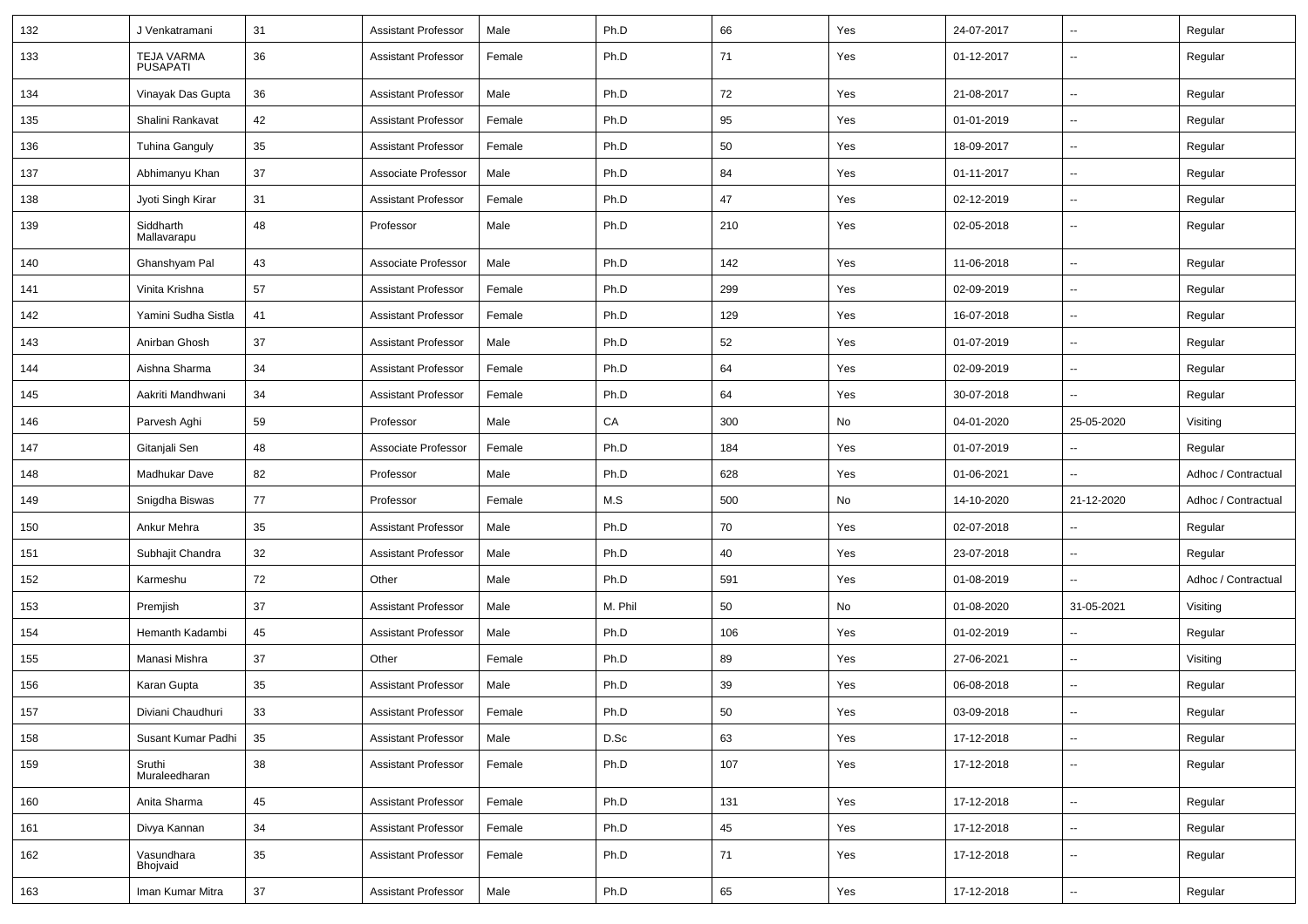| 132 | J Venkatramani                       | 31     | <b>Assistant Professor</b> | Male   | Ph.D    | 66  | Yes | 24-07-2017 | $\overline{\phantom{a}}$ | Regular             |
|-----|--------------------------------------|--------|----------------------------|--------|---------|-----|-----|------------|--------------------------|---------------------|
| 133 | <b>TEJA VARMA</b><br><b>PUSAPATI</b> | 36     | <b>Assistant Professor</b> | Female | Ph.D    | 71  | Yes | 01-12-2017 | --                       | Regular             |
| 134 | Vinayak Das Gupta                    | 36     | <b>Assistant Professor</b> | Male   | Ph.D    | 72  | Yes | 21-08-2017 | н.                       | Regular             |
| 135 | Shalini Rankavat                     | 42     | <b>Assistant Professor</b> | Female | Ph.D    | 95  | Yes | 01-01-2019 | -−                       | Regular             |
| 136 | <b>Tuhina Ganguly</b>                | 35     | <b>Assistant Professor</b> | Female | Ph.D    | 50  | Yes | 18-09-2017 | $\overline{\phantom{a}}$ | Regular             |
| 137 | Abhimanyu Khan                       | 37     | Associate Professor        | Male   | Ph.D    | 84  | Yes | 01-11-2017 | -−                       | Regular             |
| 138 | Jyoti Singh Kirar                    | 31     | <b>Assistant Professor</b> | Female | Ph.D    | 47  | Yes | 02-12-2019 | Ξ.                       | Regular             |
| 139 | Siddharth<br>Mallavarapu             | 48     | Professor                  | Male   | Ph.D    | 210 | Yes | 02-05-2018 | $\overline{\phantom{a}}$ | Regular             |
| 140 | Ghanshyam Pal                        | 43     | Associate Professor        | Male   | Ph.D    | 142 | Yes | 11-06-2018 | Ξ.                       | Regular             |
| 141 | Vinita Krishna                       | 57     | <b>Assistant Professor</b> | Female | Ph.D    | 299 | Yes | 02-09-2019 | -−                       | Regular             |
| 142 | Yamini Sudha Sistla                  | 41     | <b>Assistant Professor</b> | Female | Ph.D    | 129 | Yes | 16-07-2018 | $\sim$                   | Regular             |
| 143 | Anirban Ghosh                        | 37     | <b>Assistant Professor</b> | Male   | Ph.D    | 52  | Yes | 01-07-2019 | $\overline{\phantom{a}}$ | Regular             |
| 144 | Aishna Sharma                        | 34     | <b>Assistant Professor</b> | Female | Ph.D    | 64  | Yes | 02-09-2019 | -−                       | Regular             |
| 145 | Aakriti Mandhwani                    | 34     | <b>Assistant Professor</b> | Female | Ph.D    | 64  | Yes | 30-07-2018 | Ξ.                       | Regular             |
| 146 | Parvesh Aghi                         | 59     | Professor                  | Male   | CA      | 300 | No  | 04-01-2020 | 25-05-2020               | Visiting            |
| 147 | Gitanjali Sen                        | 48     | Associate Professor        | Female | Ph.D    | 184 | Yes | 01-07-2019 | н.                       | Regular             |
| 148 | Madhukar Dave                        | 82     | Professor                  | Male   | Ph.D    | 628 | Yes | 01-06-2021 | $\overline{a}$           | Adhoc / Contractual |
| 149 | Snigdha Biswas                       | 77     | Professor                  | Female | M.S     | 500 | No  | 14-10-2020 | 21-12-2020               | Adhoc / Contractual |
| 150 | Ankur Mehra                          | 35     | <b>Assistant Professor</b> | Male   | Ph.D    | 70  | Yes | 02-07-2018 |                          | Regular             |
| 151 | Subhajit Chandra                     | 32     | <b>Assistant Professor</b> | Male   | Ph.D    | 40  | Yes | 23-07-2018 | Ξ.                       | Regular             |
| 152 | Karmeshu                             | 72     | Other                      | Male   | Ph.D    | 591 | Yes | 01-08-2019 | Ξ.                       | Adhoc / Contractual |
| 153 | Premjish                             | 37     | <b>Assistant Professor</b> | Male   | M. Phil | 50  | No  | 01-08-2020 | 31-05-2021               | Visiting            |
| 154 | Hemanth Kadambi                      | 45     | <b>Assistant Professor</b> | Male   | Ph.D    | 106 | Yes | 01-02-2019 | Щ,                       | Regular             |
| 155 | Manasi Mishra                        | 37     | Other                      | Female | Ph.D    | 89  | Yes | 27-06-2021 | $\overline{\phantom{a}}$ | Visiting            |
| 156 | Karan Gupta                          | 35     | <b>Assistant Professor</b> | Male   | Ph.D    | 39  | Yes | 06-08-2018 | -−                       | Regular             |
| 157 | Diviani Chaudhuri                    | 33     | <b>Assistant Professor</b> | Female | Ph.D    | 50  | Yes | 03-09-2018 |                          | Regular             |
| 158 | Susant Kumar Padhi                   | 35     | <b>Assistant Professor</b> | Male   | D.Sc    | 63  | Yes | 17-12-2018 | $\sim$                   | Regular             |
| 159 | Sruthi<br>Muraleedharan              | 38     | <b>Assistant Professor</b> | Female | Ph.D    | 107 | Yes | 17-12-2018 | ₩,                       | Regular             |
| 160 | Anita Sharma                         | 45     | <b>Assistant Professor</b> | Female | Ph.D    | 131 | Yes | 17-12-2018 | $\overline{\phantom{a}}$ | Regular             |
| 161 | Divya Kannan                         | 34     | <b>Assistant Professor</b> | Female | Ph.D    | 45  | Yes | 17-12-2018 | $\overline{\phantom{a}}$ | Regular             |
| 162 | Vasundhara<br>Bhojvaid               | 35     | <b>Assistant Professor</b> | Female | Ph.D    | 71  | Yes | 17-12-2018 | н.                       | Regular             |
| 163 | Iman Kumar Mitra                     | $37\,$ | <b>Assistant Professor</b> | Male   | Ph.D    | 65  | Yes | 17-12-2018 | $\overline{\phantom{a}}$ | Regular             |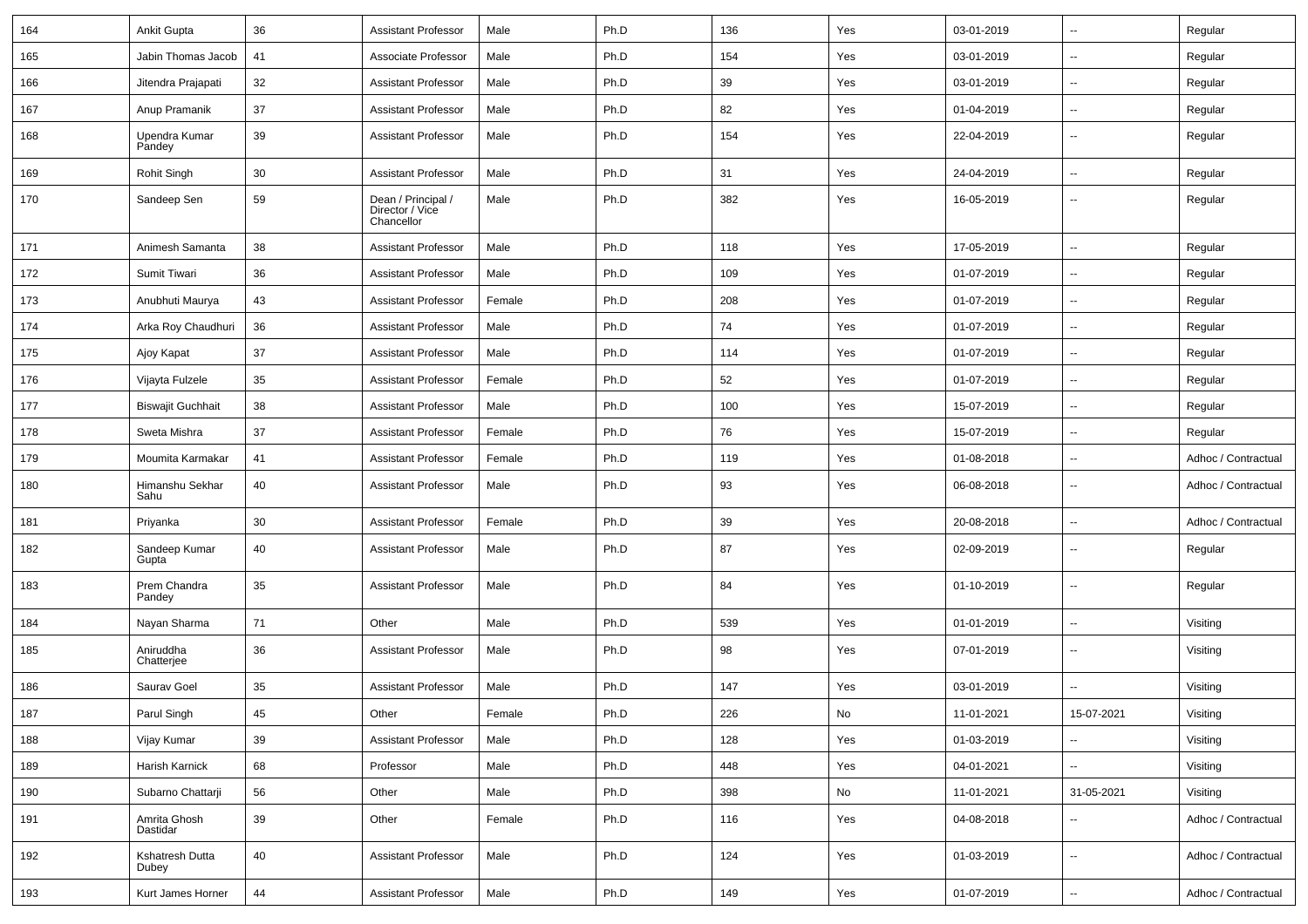| 164 | <b>Ankit Gupta</b>       | 36 | <b>Assistant Professor</b>                          | Male   | Ph.D | 136 | Yes                          | 03-01-2019 | $\overline{\phantom{a}}$ | Regular             |
|-----|--------------------------|----|-----------------------------------------------------|--------|------|-----|------------------------------|------------|--------------------------|---------------------|
| 165 | Jabin Thomas Jacob       | 41 | Associate Professor                                 | Male   | Ph.D | 154 | Yes                          | 03-01-2019 | ⊷.                       | Regular             |
| 166 | Jitendra Prajapati       | 32 | <b>Assistant Professor</b>                          | Male   | Ph.D | 39  | Yes                          | 03-01-2019 | $\overline{\phantom{a}}$ | Regular             |
| 167 | Anup Pramanik            | 37 | <b>Assistant Professor</b>                          | Male   | Ph.D | 82  | Yes                          | 01-04-2019 | $\overline{\phantom{a}}$ | Regular             |
| 168 | Upendra Kumar<br>Pandey  | 39 | <b>Assistant Professor</b>                          | Male   | Ph.D | 154 | Yes                          | 22-04-2019 | --                       | Regular             |
| 169 | Rohit Singh              | 30 | <b>Assistant Professor</b>                          | Male   | Ph.D | 31  | Yes                          | 24-04-2019 | Ξ.                       | Regular             |
| 170 | Sandeep Sen              | 59 | Dean / Principal /<br>Director / Vice<br>Chancellor | Male   | Ph.D | 382 | Yes                          | 16-05-2019 | $\overline{\phantom{a}}$ | Regular             |
| 171 | Animesh Samanta          | 38 | <b>Assistant Professor</b>                          | Male   | Ph.D | 118 | Yes                          | 17-05-2019 | $\overline{a}$           | Regular             |
| 172 | Sumit Tiwari             | 36 | <b>Assistant Professor</b>                          | Male   | Ph.D | 109 | Yes                          | 01-07-2019 | $\overline{\phantom{a}}$ | Regular             |
| 173 | Anubhuti Maurya          | 43 | <b>Assistant Professor</b>                          | Female | Ph.D | 208 | Yes                          | 01-07-2019 | ⊷.                       | Regular             |
| 174 | Arka Roy Chaudhuri       | 36 | <b>Assistant Professor</b>                          | Male   | Ph.D | 74  | Yes                          | 01-07-2019 | ⊷.                       | Regular             |
| 175 | Ajoy Kapat               | 37 | <b>Assistant Professor</b>                          | Male   | Ph.D | 114 | Yes                          | 01-07-2019 | Ξ.                       | Regular             |
| 176 | Vijayta Fulzele          | 35 | <b>Assistant Professor</b>                          | Female | Ph.D | 52  | Yes                          | 01-07-2019 | $\overline{\phantom{a}}$ | Regular             |
| 177 | <b>Biswajit Guchhait</b> | 38 | <b>Assistant Professor</b>                          | Male   | Ph.D | 100 | Yes                          | 15-07-2019 | -−                       | Regular             |
| 178 | Sweta Mishra             | 37 | <b>Assistant Professor</b>                          | Female | Ph.D | 76  | Yes                          | 15-07-2019 | Ξ.                       | Regular             |
| 179 | Moumita Karmakar         | 41 | <b>Assistant Professor</b>                          | Female | Ph.D | 119 | Yes                          | 01-08-2018 | $\overline{\phantom{a}}$ | Adhoc / Contractual |
| 180 | Himanshu Sekhar<br>Sahu  | 40 | <b>Assistant Professor</b>                          | Male   | Ph.D | 93  | Yes                          | 06-08-2018 | ⊷.                       | Adhoc / Contractual |
| 181 | Priyanka                 | 30 | <b>Assistant Professor</b>                          | Female | Ph.D | 39  | Yes                          | 20-08-2018 | $\sim$                   | Adhoc / Contractual |
| 182 | Sandeep Kumar<br>Gupta   | 40 | <b>Assistant Professor</b>                          | Male   | Ph.D | 87  | Yes                          | 02-09-2019 | $\overline{\phantom{a}}$ | Regular             |
| 183 | Prem Chandra<br>Pandey   | 35 | <b>Assistant Professor</b>                          | Male   | Ph.D | 84  | Yes                          | 01-10-2019 | н.                       | Regular             |
| 184 | Nayan Sharma             | 71 | Other                                               | Male   | Ph.D | 539 | Yes                          | 01-01-2019 | $\overline{\phantom{a}}$ | Visiting            |
| 185 | Aniruddha<br>Chatterjee  | 36 | <b>Assistant Professor</b>                          | Male   | Ph.D | 98  | Yes                          | 07-01-2019 | --                       | Visiting            |
| 186 | Saurav Goel              | 35 | <b>Assistant Professor</b>                          | Male   | Ph.D | 147 | Yes                          | 03-01-2019 |                          | Visiting            |
| 187 | Parul Singh              | 45 | Other                                               | Female | Ph.D | 226 | $\operatorname{\mathsf{No}}$ | 11-01-2021 | 15-07-2021               | Visiting            |
| 188 | Vijay Kumar              | 39 | <b>Assistant Professor</b>                          | Male   | Ph.D | 128 | Yes                          | 01-03-2019 | $\overline{\phantom{a}}$ | Visiting            |
| 189 | Harish Karnick           | 68 | Professor                                           | Male   | Ph.D | 448 | Yes                          | 04-01-2021 | $\sim$                   | Visiting            |
| 190 | Subarno Chattarji        | 56 | Other                                               | Male   | Ph.D | 398 | No                           | 11-01-2021 | 31-05-2021               | Visiting            |
| 191 | Amrita Ghosh<br>Dastidar | 39 | Other                                               | Female | Ph.D | 116 | Yes                          | 04-08-2018 | $\sim$                   | Adhoc / Contractual |
| 192 | Kshatresh Dutta<br>Dubey | 40 | <b>Assistant Professor</b>                          | Male   | Ph.D | 124 | Yes                          | 01-03-2019 | $\overline{\phantom{a}}$ | Adhoc / Contractual |
| 193 | Kurt James Horner        | 44 | <b>Assistant Professor</b>                          | Male   | Ph.D | 149 | Yes                          | 01-07-2019 | $\sim$                   | Adhoc / Contractual |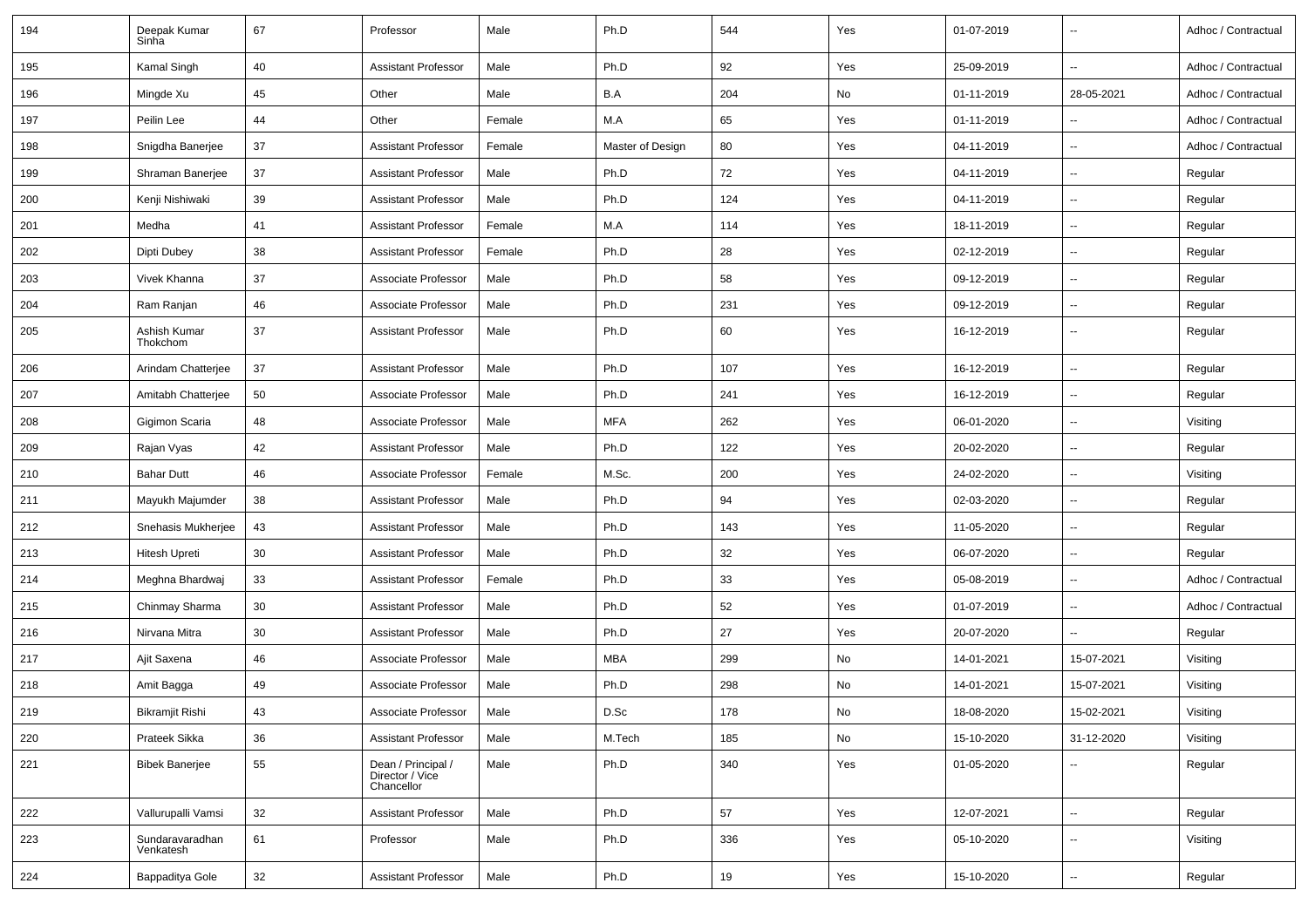| 194 | Deepak Kumar<br>Sinha        | 67 | Professor                                           | Male   | Ph.D             | 544 | Yes | 01-07-2019 |                          | Adhoc / Contractual |
|-----|------------------------------|----|-----------------------------------------------------|--------|------------------|-----|-----|------------|--------------------------|---------------------|
| 195 | Kamal Singh                  | 40 | Assistant Professor                                 | Male   | Ph.D             | 92  | Yes | 25-09-2019 |                          | Adhoc / Contractual |
| 196 | Mingde Xu                    | 45 | Other                                               | Male   | B.A              | 204 | No  | 01-11-2019 | 28-05-2021               | Adhoc / Contractual |
| 197 | Peilin Lee                   | 44 | Other                                               | Female | M.A              | 65  | Yes | 01-11-2019 |                          | Adhoc / Contractual |
| 198 | Snigdha Banerjee             | 37 | <b>Assistant Professor</b>                          | Female | Master of Design | 80  | Yes | 04-11-2019 | $\overline{\phantom{a}}$ | Adhoc / Contractual |
| 199 | Shraman Banerjee             | 37 | Assistant Professor                                 | Male   | Ph.D             | 72  | Yes | 04-11-2019 | $\sim$                   | Regular             |
| 200 | Kenji Nishiwaki              | 39 | <b>Assistant Professor</b>                          | Male   | Ph.D             | 124 | Yes | 04-11-2019 | $\sim$                   | Regular             |
| 201 | Medha                        | 41 | Assistant Professor                                 | Female | M.A              | 114 | Yes | 18-11-2019 | $\overline{\phantom{a}}$ | Regular             |
| 202 | Dipti Dubey                  | 38 | Assistant Professor                                 | Female | Ph.D             | 28  | Yes | 02-12-2019 |                          | Regular             |
| 203 | Vivek Khanna                 | 37 | Associate Professor                                 | Male   | Ph.D             | 58  | Yes | 09-12-2019 | $\sim$                   | Regular             |
| 204 | Ram Ranjan                   | 46 | Associate Professor                                 | Male   | Ph.D             | 231 | Yes | 09-12-2019 | $\overline{\phantom{a}}$ | Regular             |
| 205 | Ashish Kumar<br>Thokchom     | 37 | <b>Assistant Professor</b>                          | Male   | Ph.D             | 60  | Yes | 16-12-2019 | $\overline{\phantom{a}}$ | Regular             |
| 206 | Arindam Chatterjee           | 37 | Assistant Professor                                 | Male   | Ph.D             | 107 | Yes | 16-12-2019 | $\overline{\phantom{a}}$ | Regular             |
| 207 | Amitabh Chatterjee           | 50 | Associate Professor                                 | Male   | Ph.D             | 241 | Yes | 16-12-2019 | $\sim$                   | Regular             |
| 208 | Gigimon Scaria               | 48 | Associate Professor                                 | Male   | <b>MFA</b>       | 262 | Yes | 06-01-2020 | $\sim$                   | Visiting            |
| 209 | Rajan Vyas                   | 42 | <b>Assistant Professor</b>                          | Male   | Ph.D             | 122 | Yes | 20-02-2020 | $\overline{\phantom{a}}$ | Regular             |
| 210 | <b>Bahar Dutt</b>            | 46 | Associate Professor                                 | Female | M.Sc.            | 200 | Yes | 24-02-2020 | $\overline{\phantom{a}}$ | Visiting            |
| 211 | Mayukh Majumder              | 38 | <b>Assistant Professor</b>                          | Male   | Ph.D             | 94  | Yes | 02-03-2020 | $\overline{\phantom{a}}$ | Regular             |
| 212 | Snehasis Mukherjee           | 43 | Assistant Professor                                 | Male   | Ph.D             | 143 | Yes | 11-05-2020 | $\sim$                   | Regular             |
| 213 | <b>Hitesh Upreti</b>         | 30 | <b>Assistant Professor</b>                          | Male   | Ph.D             | 32  | Yes | 06-07-2020 | $\overline{\phantom{a}}$ | Regular             |
| 214 | Meghna Bhardwaj              | 33 | Assistant Professor                                 | Female | Ph.D             | 33  | Yes | 05-08-2019 | $\overline{\phantom{a}}$ | Adhoc / Contractual |
| 215 | Chinmay Sharma               | 30 | Assistant Professor                                 | Male   | Ph.D             | 52  | Yes | 01-07-2019 | $\overline{\phantom{a}}$ | Adhoc / Contractual |
| 216 | Nirvana Mitra                | 30 | <b>Assistant Professor</b>                          | Male   | Ph.D             | 27  | Yes | 20-07-2020 |                          | Regular             |
| 217 | Ajit Saxena                  | 46 | Associate Professor                                 | Male   | <b>MBA</b>       | 299 | No  | 14-01-2021 | 15-07-2021               | Visiting            |
| 218 | Amit Bagga                   | 49 | Associate Professor                                 | Male   | Ph.D             | 298 | No  | 14-01-2021 | 15-07-2021               | Visiting            |
| 219 | Bikramjit Rishi              | 43 | Associate Professor                                 | Male   | D.Sc             | 178 | No  | 18-08-2020 | 15-02-2021               | Visiting            |
| 220 | Prateek Sikka                | 36 | <b>Assistant Professor</b>                          | Male   | M.Tech           | 185 | No  | 15-10-2020 | 31-12-2020               | Visiting            |
| 221 | <b>Bibek Banerjee</b>        | 55 | Dean / Principal /<br>Director / Vice<br>Chancellor | Male   | Ph.D             | 340 | Yes | 01-05-2020 | $\sim$                   | Regular             |
| 222 | Vallurupalli Vamsi           | 32 | <b>Assistant Professor</b>                          | Male   | Ph.D             | 57  | Yes | 12-07-2021 | $\sim$                   | Regular             |
| 223 | Sundaravaradhan<br>Venkatesh | 61 | Professor                                           | Male   | Ph.D             | 336 | Yes | 05-10-2020 | $\overline{\phantom{a}}$ | Visiting            |
| 224 | Bappaditya Gole              | 32 | <b>Assistant Professor</b>                          | Male   | Ph.D             | 19  | Yes | 15-10-2020 | $\overline{\phantom{a}}$ | Regular             |